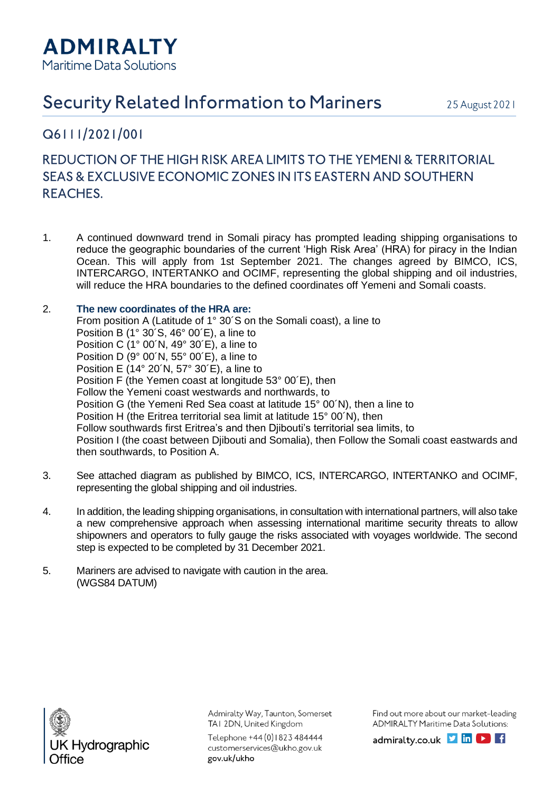

## **Security Related Information to Mariners**

25 August 2021

## Q6111/2021/001

## REDUCTION OF THE HIGH RISK AREA LIMITS TO THE YEMENI & TERRITORIAL SEAS & EXCLUSIVE ECONOMIC ZONES IN ITS EASTERN AND SOUTHERN **REACHES.**

1. A continued downward trend in Somali piracy has prompted leading shipping organisations to reduce the geographic boundaries of the current 'High Risk Area' (HRA) for piracy in the Indian Ocean. This will apply from 1st September 2021. The changes agreed by BIMCO, ICS, INTERCARGO, INTERTANKO and OCIMF, representing the global shipping and oil industries, will reduce the HRA boundaries to the defined coordinates off Yemeni and Somali coasts.

## 2. **The new coordinates of the HRA are:**

From position A (Latitude of 1° 30´S on the Somali coast), a line to Position B (1° 30´S, 46° 00´E), a line to Position C (1° 00´N, 49° 30´E), a line to Position D (9° 00´N, 55° 00´E), a line to Position E (14° 20´N, 57° 30´E), a line to Position F (the Yemen coast at longitude 53° 00´E), then Follow the Yemeni coast westwards and northwards, to Position G (the Yemeni Red Sea coast at latitude 15° 00´N), then a line to Position H (the Eritrea territorial sea limit at latitude 15° 00´N), then Follow southwards first Eritrea's and then Djibouti's territorial sea limits, to Position I (the coast between Djibouti and Somalia), then Follow the Somali coast eastwards and then southwards, to Position A.

- 3. See attached diagram as published by BIMCO, ICS, INTERCARGO, INTERTANKO and OCIMF, representing the global shipping and oil industries.
- 4. In addition, the leading shipping organisations, in consultation with international partners, will also take a new comprehensive approach when assessing international maritime security threats to allow shipowners and operators to fully gauge the risks associated with voyages worldwide. The second step is expected to be completed by 31 December 2021.
- 5. Mariners are advised to navigate with caution in the area. (WGS84 DATUM)



Admiralty Way, Taunton, Somerset TAI 2DN, United Kingdom

Telephone +44 (0) 1823 484444 customerservices@ukho.gov.uk gov.uk/ukho

Find out more about our market-leading **ADMIRALTY Maritime Data Solutions:** 

admiralty.co.uk  $\triangleright$  in  $\triangleright$  if